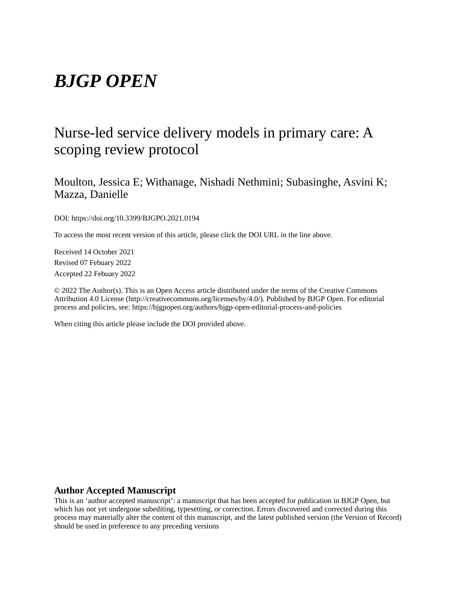# *BJGP OPEN*

# Nurse-led service delivery models in primary care: A scoping review protocol

Moulton, Jessica E; Withanage, Nishadi Nethmini; Subasinghe, Asvini K; Mazza, Danielle

DOI: https://doi.org/10.3399/BJGPO.2021.0194

To access the most recent version of this article, please click the DOI URL in the line above.

Received 14 October 2021 Revised 07 Febuary 2022 Accepted 22 Febuary 2022

© 2022 The Author(s). This is an Open Access article distributed under the terms of the Creative Commons Attribution 4.0 License (http://creativecommons.org/licenses/by/4.0/). Published by BJGP Open. For editorial process and policies, see: https://bjgpopen.org/authors/bjgp-open-editorial-process-and-policies

When citing this article please include the DOI provided above.

## **Author Accepted Manuscript**

This is an 'author accepted manuscript': a manuscript that has been accepted for publication in BJGP Open, but which has not yet undergone subediting, typesetting, or correction. Errors discovered and corrected during this process may materially alter the content of this manuscript, and the latest published version (the Version of Record) should be used in preference to any preceding versions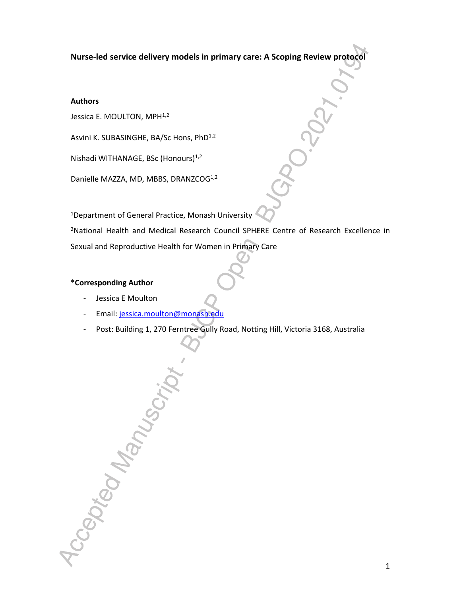**Nurse-led service delivery models in primary care: A Scoping Review protocol**

# **Authors**

Jessica E. MOULTON, MPH<sup>1,2</sup>

Asvini K. SUBASINGHE, BA/Sc Hons, PhD<sup>1,2</sup>

Nishadi WITHANAGE, BSc (Honours)1,2

Danielle MAZZA, MD, MBBS, DRANZCOG<sup>1,2</sup>

<sup>1</sup>Department of General Practice, Monash University

<sup>2</sup>National Health and Medical Research Council SPHERE Centre of Research Excellence in Sexual and Reproductive Health for Women in Primary Care

# **\*Corresponding Author**

- Jessica E Moulton

Accepted Manuscrip

- Email: jessica.moulton@monash.edu
- Post: Building 1, 270 Ferntree Gully Road, Notting Hill, Victoria 3168, Australia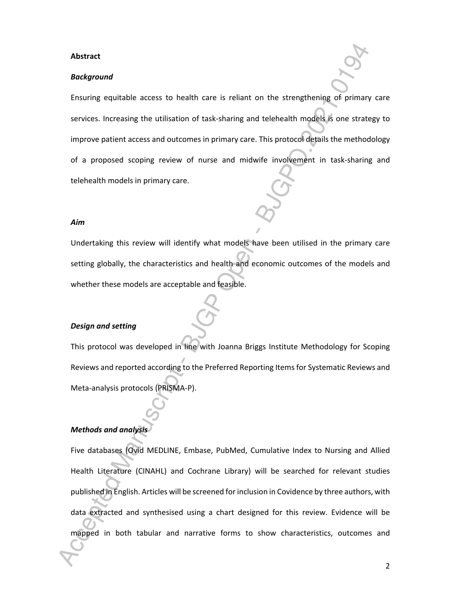#### **Abstract**

#### *Background*

Ensuring equitable access to health care is reliant on the strengthening of primary care services. Increasing the utilisation of task-sharing and telehealth models is one strategy to improve patient access and outcomes in primary care. This protocol details the methodology of a proposed scoping review of nurse and midwife involvement in task-sharing and telehealth models in primary care.

#### *Aim*

Undertaking this review will identify what models have been utilised in the primary care setting globally, the characteristics and health and economic outcomes of the models and whether these models are acceptable and feasible.

# *Design and setting*

This protocol was developed in line with Joanna Briggs Institute Methodology for Scoping Reviews and reported according to the Preferred Reporting Items for Systematic Reviews and Meta-analysis protocols (PRISMA-P).

#### *Methods and analysis*

Five databases (Ovid MEDLINE, Embase, PubMed, Cumulative Index to Nursing and Allied Health Literature (CINAHL) and Cochrane Library) will be searched for relevant studies published in English. Articles will be screened for inclusion in Covidence by three authors, with data extracted and synthesised using a chart designed for this review. Evidence will be mapped in both tabular and narrative forms to show characteristics, outcomes and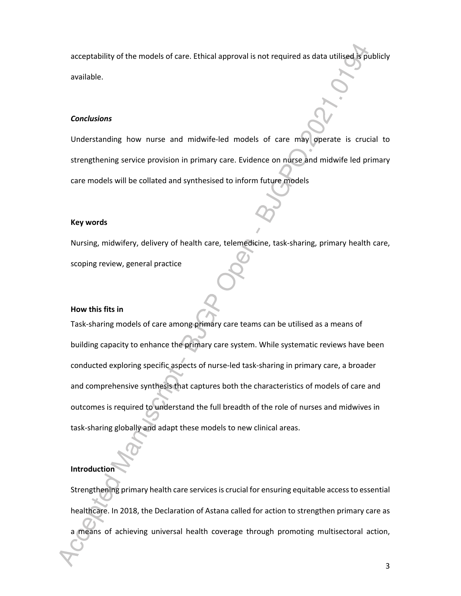acceptability of the models of care. Ethical approval is not required as data utilised is publicly available.

#### *Conclusions*

Understanding how nurse and midwife-led models of care may operate is crucial to strengthening service provision in primary care. Evidence on nurse and midwife led primary care models will be collated and synthesised to inform future models

#### **Key words**

Nursing, midwifery, delivery of health care, telemedicine, task-sharing, primary health care, scoping review, general practice

#### **How this fits in**

Task-sharing models of care among primary care teams can be utilised as a means of building capacity to enhance the primary care system. While systematic reviews have been conducted exploring specific aspects of nurse-led task-sharing in primary care, a broader and comprehensive synthesis that captures both the characteristics of models of care and outcomes is required to understand the full breadth of the role of nurses and midwives in task-sharing globally and adapt these models to new clinical areas.

#### **Introduction**

Strengthening primary health care services is crucial for ensuring equitable access to essential healthcare. In 2018, the Declaration of Astana called for action to strengthen primary care as a means of achieving universal health coverage through promoting multisectoral action,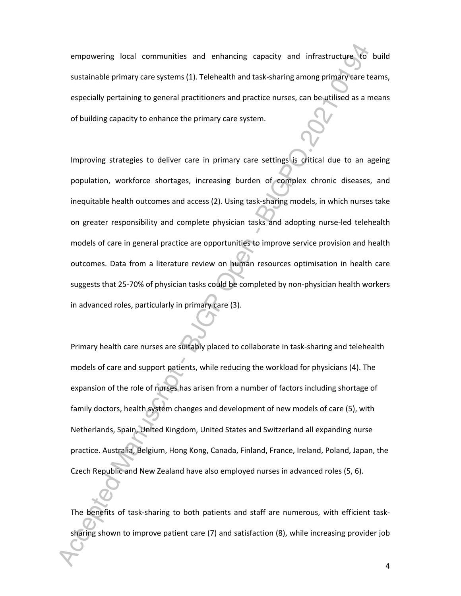empowering local communities and enhancing capacity and infrastructure to build sustainable primary care systems (1). Telehealth and task-sharing among primary care teams, especially pertaining to general practitioners and practice nurses, can be utilised as a means of building capacity to enhance the primary care system.

Improving strategies to deliver care in primary care settings is critical due to an ageing population, workforce shortages, increasing burden of complex chronic diseases, and inequitable health outcomes and access (2). Using task-sharing models, in which nurses take on greater responsibility and complete physician tasks and adopting nurse-led telehealth models of care in general practice are opportunities to improve service provision and health outcomes. Data from a literature review on human resources optimisation in health care suggests that 25-70% of physician tasks could be completed by non-physician health workers in advanced roles, particularly in primary care (3).

Primary health care nurses are suitably placed to collaborate in task-sharing and telehealth models of care and support patients, while reducing the workload for physicians (4). The expansion of the role of nurses has arisen from a number of factors including shortage of family doctors, health system changes and development of new models of care (5), with Netherlands, Spain, United Kingdom, United States and Switzerland all expanding nurse practice. Australia, Belgium, Hong Kong, Canada, Finland, France, Ireland, Poland, Japan, the Czech Republic and New Zealand have also employed nurses in advanced roles (5, 6).

The benefits of task-sharing to both patients and staff are numerous, with efficient tasksharing shown to improve patient care (7) and satisfaction (8), while increasing provider job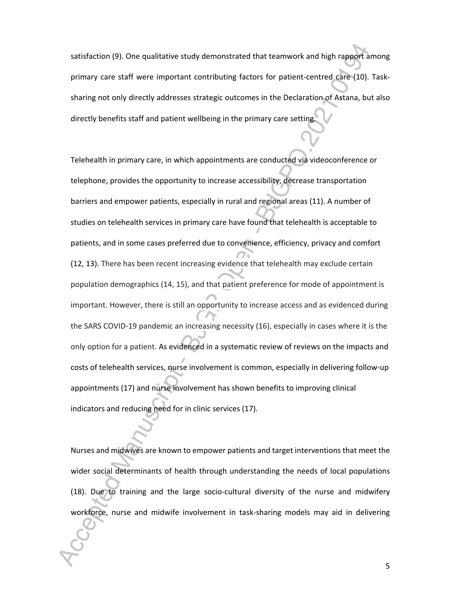satisfaction (9). One qualitative study demonstrated that teamwork and high rapport among primary care staff were important contributing factors for patient-centred care (10). Tasksharing not only directly addresses strategic outcomes in the Declaration of Astana, but also directly benefits staff and patient wellbeing in the primary care setting.

Telehealth in primary care, in which appointments are conducted via videoconference or telephone, provides the opportunity to increase accessibility, decrease transportation barriers and empower patients, especially in rural and regional areas (11). A number of studies on telehealth services in primary care have found that telehealth is acceptable to patients, and in some cases preferred due to convenience, efficiency, privacy and comfort (12, 13). There has been recent increasing evidence that telehealth may exclude certain population demographics (14, 15), and that patient preference for mode of appointment is important. However, there is still an opportunity to increase access and as evidenced during the SARS COVID-19 pandemic an increasing necessity (16), especially in cases where it is the only option for a patient. As evidenced in a systematic review of reviews on the impacts and costs of telehealth services, nurse involvement is common, especially in delivering follow-up appointments (17) and nurse involvement has shown benefits to improving clinical indicators and reducing need for in clinic services (17).

Nurses and midwives are known to empower patients and target interventions that meet the wider social determinants of health through understanding the needs of local populations (18). Due to training and the large socio-cultural diversity of the nurse and midwifery workforce, nurse and midwife involvement in task-sharing models may aid in delivering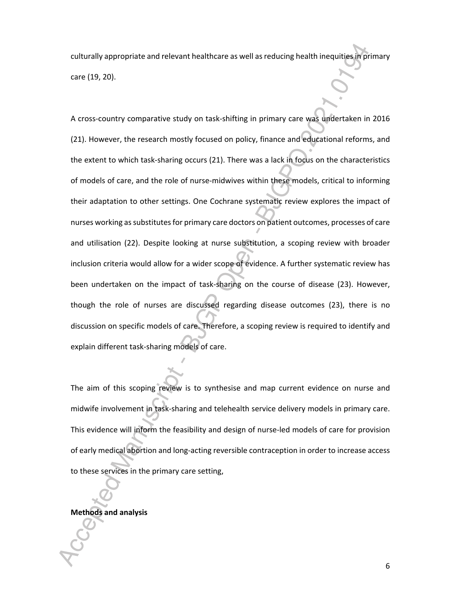culturally appropriate and relevant healthcare as well as reducing health inequities in primary care (19, 20).

A cross-country comparative study on task-shifting in primary care was undertaken in 2016 (21). However, the research mostly focused on policy, finance and educational reforms, and the extent to which task-sharing occurs (21). There was a lack in focus on the characteristics of models of care, and the role of nurse-midwives within these models, critical to informing their adaptation to other settings. One Cochrane systematic review explores the impact of nurses working as substitutes for primary care doctors on patient outcomes, processes of care and utilisation (22). Despite looking at nurse substitution, a scoping review with broader inclusion criteria would allow for a wider scope of evidence. A further systematic review has been undertaken on the impact of task-sharing on the course of disease (23). However, though the role of nurses are discussed regarding disease outcomes (23), there is no discussion on specific models of care. Therefore, a scoping review is required to identify and explain different task-sharing models of care.

The aim of this scoping review is to synthesise and map current evidence on nurse and midwife involvement in task-sharing and telehealth service delivery models in primary care. This evidence will inform the feasibility and design of nurse-led models of care for provision of early medical abortion and long-acting reversible contraception in order to increase access to these services in the primary care setting,

# **Methods and analysis**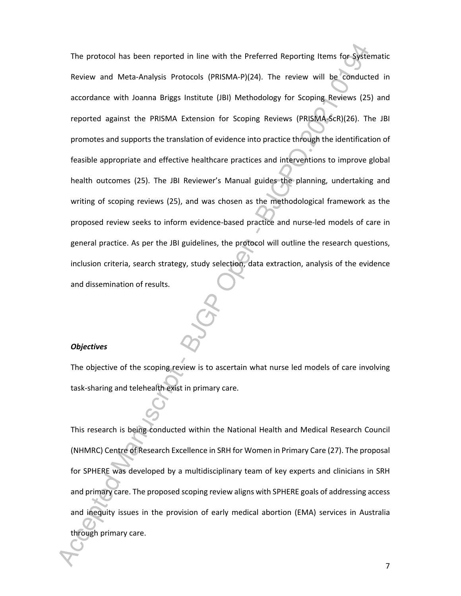The protocol has been reported in line with the Preferred Reporting Items for Systematic Review and Meta-Analysis Protocols (PRISMA-P)(24). The review will be conducted in accordance with Joanna Briggs Institute (JBI) Methodology for Scoping Reviews (25) and reported against the PRISMA Extension for Scoping Reviews (PRISMA-ScR)(26). The JBI promotes and supports the translation of evidence into practice through the identification of feasible appropriate and effective healthcare practices and interventions to improve global health outcomes (25). The JBI Reviewer's Manual guides the planning, undertaking and writing of scoping reviews (25), and was chosen as the methodological framework as the proposed review seeks to inform evidence-based practice and nurse-led models of care in general practice. As per the JBI guidelines, the protocol will outline the research questions, inclusion criteria, search strategy, study selection, data extraction, analysis of the evidence and dissemination of results.

# *Objectives*

The objective of the scoping review is to ascertain what nurse led models of care involving task-sharing and telehealth exist in primary care.

This research is being conducted within the National Health and Medical Research Council (NHMRC) Centre of Research Excellence in SRH for Women in Primary Care (27). The proposal for SPHERE was developed by a multidisciplinary team of key experts and clinicians in SRH and primary care. The proposed scoping review aligns with SPHERE goals of addressing access and inequity issues in the provision of early medical abortion (EMA) services in Australia through primary care.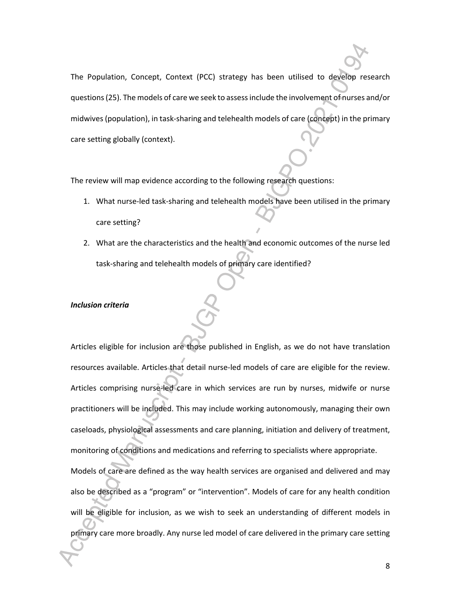The Population, Concept, Context (PCC) strategy has been utilised to develop research questions (25). The models of care we seek to assess include the involvement of nurses and/or midwives (population), in task-sharing and telehealth models of care (concept) in the primary care setting globally (context).

The review will map evidence according to the following research questions:

- 1. What nurse-led task-sharing and telehealth models have been utilised in the primary care setting?
- 2. What are the characteristics and the health and economic outcomes of the nurse led task-sharing and telehealth models of primary care identified?

#### *Inclusion criteria*

Articles eligible for inclusion are those published in English, as we do not have translation resources available. Articles that detail nurse-led models of care are eligible for the review. Articles comprising nurse-led care in which services are run by nurses, midwife or nurse practitioners will be included. This may include working autonomously, managing their own caseloads, physiological assessments and care planning, initiation and delivery of treatment, monitoring of conditions and medications and referring to specialists where appropriate.

Models of care are defined as the way health services are organised and delivered and may also be described as a "program" or "intervention". Models of care for any health condition will be eligible for inclusion, as we wish to seek an understanding of different models in primary care more broadly. Any nurse led model of care delivered in the primary care setting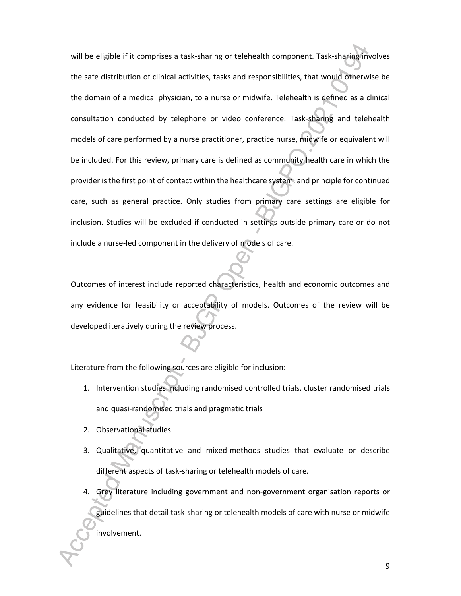will be eligible if it comprises a task-sharing or telehealth component. Task-sharing involves the safe distribution of clinical activities, tasks and responsibilities, that would otherwise be the domain of a medical physician, to a nurse or midwife. Telehealth is defined as a clinical consultation conducted by telephone or video conference. Task-sharing and telehealth models of care performed by a nurse practitioner, practice nurse, midwife or equivalent will be included. For this review, primary care is defined as community health care in which the provider is the first point of contact within the healthcare system, and principle for continued care, such as general practice. Only studies from primary care settings are eligible for inclusion. Studies will be excluded if conducted in settings outside primary care or do not include a nurse-led component in the delivery of models of care.

Outcomes of interest include reported characteristics, health and economic outcomes and any evidence for feasibility or acceptability of models. Outcomes of the review will be developed iteratively during the review process.

Literature from the following sources are eligible for inclusion:

- 1. Intervention studies including randomised controlled trials, cluster randomised trials and quasi-randomised trials and pragmatic trials
- 2. Observational studies
- 3. Qualitative, quantitative and mixed-methods studies that evaluate or describe different aspects of task-sharing or telehealth models of care.
- 4. Grey literature including government and non-government organisation reports or guidelines that detail task-sharing or telehealth models of care with nurse or midwife involvement.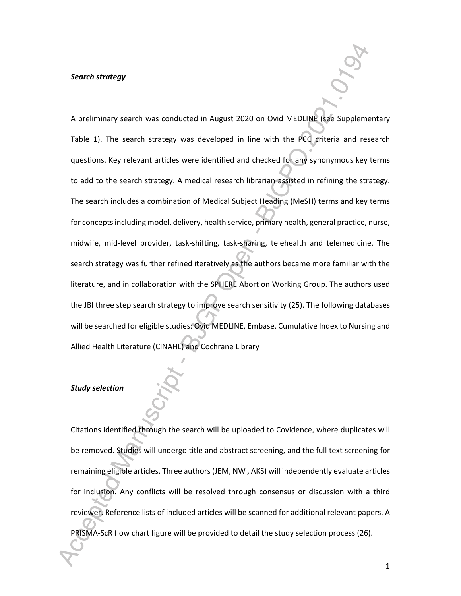#### *Search strategy*

A preliminary search was conducted in August 2020 on Ovid MEDLINE (see Supplementary Table 1). The search strategy was developed in line with the PCC criteria and research questions. Key relevant articles were identified and checked for any synonymous key terms to add to the search strategy. A medical research librarian assisted in refining the strategy. The search includes a combination of Medical Subject Heading (MeSH) terms and key terms for concepts including model, delivery, health service, primary health, general practice, nurse, midwife, mid-level provider, task-shifting, task-sharing, telehealth and telemedicine. The search strategy was further refined iteratively as the authors became more familiar with the literature, and in collaboration with the SPHERE Abortion Working Group. The authors used the JBI three step search strategy to improve search sensitivity (25). The following databases will be searched for eligible studies: Ovid MEDLINE, Embase, Cumulative Index to Nursing and Allied Health Literature (CINAHL) and Cochrane Library

### *Study selection*

Citations identified through the search will be uploaded to Covidence, where duplicates will be removed. Studies will undergo title and abstract screening, and the full text screening for remaining eligible articles. Three authors (JEM, NW , AKS) will independently evaluate articles for inclusion. Any conflicts will be resolved through consensus or discussion with a third reviewer. Reference lists of included articles will be scanned for additional relevant papers. A PRISMA-ScR flow chart figure will be provided to detail the study selection process (26).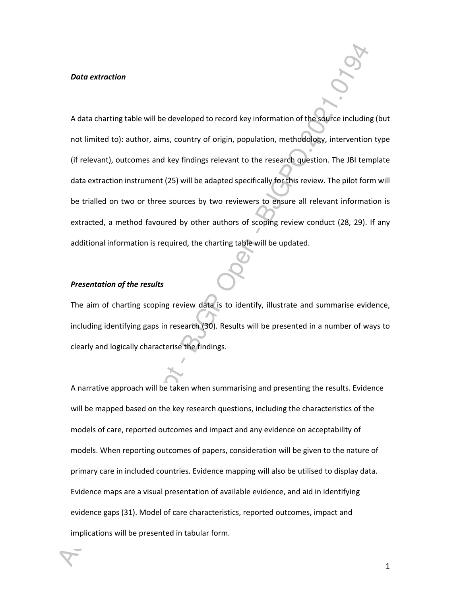#### *Data extraction*

A data charting table will be developed to record key information of the source including (but not limited to): author, aims, country of origin, population, methodology, intervention type (if relevant), outcomes and key findings relevant to the research question. The JBI template data extraction instrument (25) will be adapted specifically for this review. The pilot form will be trialled on two or three sources by two reviewers to ensure all relevant information is extracted, a method favoured by other authors of scoping review conduct (28, 29). If any additional information is required, the charting table will be updated.

#### *Presentation of the results*

The aim of charting scoping review data is to identify, illustrate and summarise evidence, including identifying gaps in research (30). Results will be presented in a number of ways to clearly and logically characterise the findings.

A narrative approach will be taken when summarising and presenting the results. Evidence will be mapped based on the key research questions, including the characteristics of the models of care, reported outcomes and impact and any evidence on acceptability of models. When reporting outcomes of papers, consideration will be given to the nature of primary care in included countries. Evidence mapping will also be utilised to display data. Evidence maps are a visual presentation of available evidence, and aid in identifying evidence gaps (31). Model of care characteristics, reported outcomes, impact and implications will be presented in tabular form.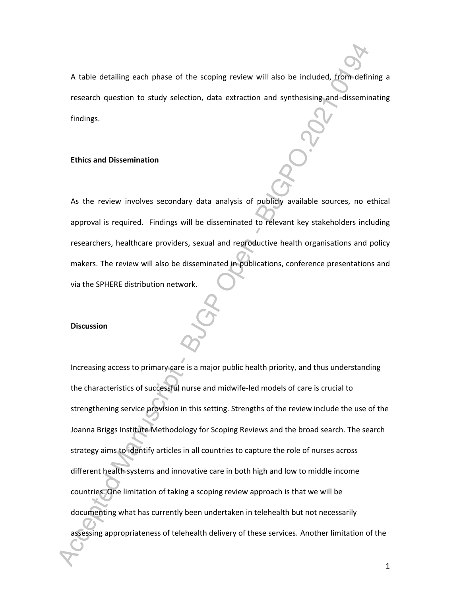A table detailing each phase of the scoping review will also be included, from defining a research question to study selection, data extraction and synthesising and disseminating findings.

#### **Ethics and Dissemination**

As the review involves secondary data analysis of publicly available sources, no ethical approval is required. Findings will be disseminated to relevant key stakeholders including researchers, healthcare providers, sexual and reproductive health organisations and policy makers. The review will also be disseminated in publications, conference presentations and via the SPHERE distribution network.

#### **Discussion**

Increasing access to primary care is a major public health priority, and thus understanding the characteristics of successful nurse and midwife-led models of care is crucial to strengthening service provision in this setting. Strengths of the review include the use of the Joanna Briggs Institute Methodology for Scoping Reviews and the broad search. The search strategy aims to identify articles in all countries to capture the role of nurses across different health systems and innovative care in both high and low to middle income countries. One limitation of taking a scoping review approach is that we will be documenting what has currently been undertaken in telehealth but not necessarily assessing appropriateness of telehealth delivery of these services. Another limitation of the

 $\mathbf{1}$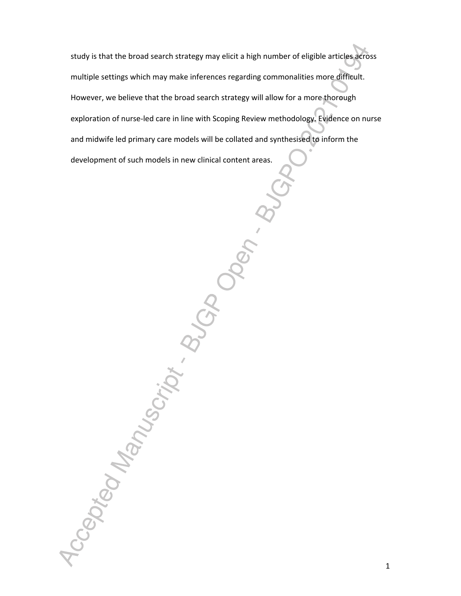study is that the broad search strategy may elicit a high number of eligible articles across multiple settings which may make inferences regarding commonalities more difficult. However, we believe that the broad search strategy will allow for a more thorough exploration of nurse-led care in line with Scoping Review methodology.Evidence on nurse and midwife led primary care models will be collated and synthesised to inform the development of such models in new clinical content areas.

Accepted Manuscript . B. Job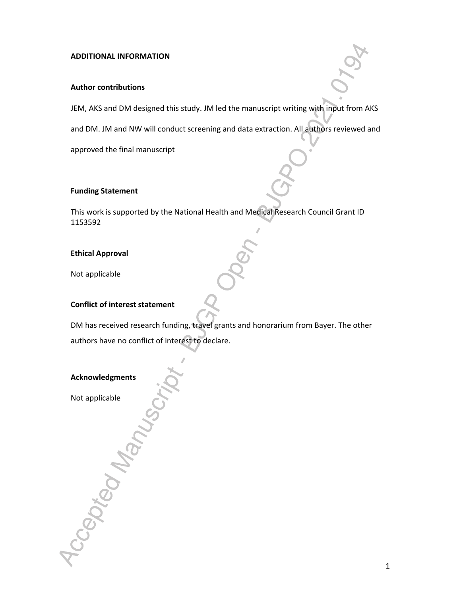# **ADDITIONAL INFORMATION**

# **Author contributions**

JEM, AKS and DM designed this study. JM led the manuscript writing with input from AKS

and DM. JM and NW will conduct screening and data extraction. All authors reviewed and

approved the final manuscript

# **Funding Statement**

This work is supported by the National Health and Medical Research Council Grant ID 1153592

# **Ethical Approval**

Not applicable

# **Conflict of interest statement**

DM has received research funding, travel grants and honorarium from Bayer. The other authors have no conflict of interest to declare.



Acception Manus

Not applicable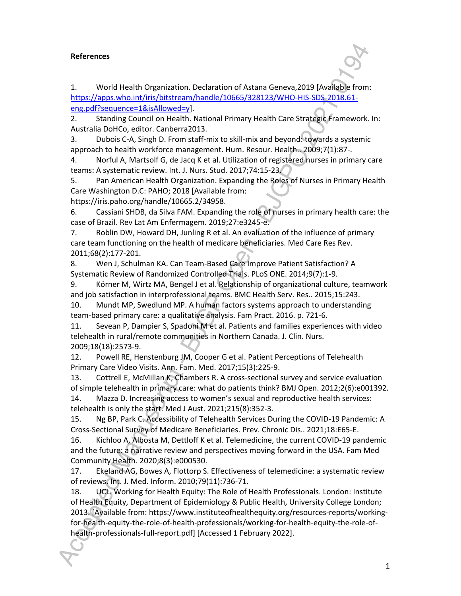# **References**

1. World Health Organization. Declaration of Astana Geneva,2019 [Available from: https://apps.who.int/iris/bitstream/handle/10665/328123/WHO-HIS-SDS-2018.61 eng.pdf?sequence=1&isAllowed=y].

2. Standing Council on Health. National Primary Health Care Strategic Framework. In: Australia DoHCo, editor. Canberra2013.

3. Dubois C-A, Singh D. From staff-mix to skill-mix and beyond: towards a systemic approach to health workforce management. Hum. Resour. Health.. 2009;7(1):87-.

4. Norful A, Martsolf G, de Jacq K et al. Utilization of registered nurses in primary care teams: A systematic review. Int. J. Nurs. Stud. 2017;74:15-23.

5. Pan American Health Organization. Expanding the Roles of Nurses in Primary Health Care Washington D.C: PAHO; 2018 [Available from:

https://iris.paho.org/handle/10665.2/34958.

6. Cassiani SHDB, da Silva FAM. Expanding the role of nurses in primary health care: the case of Brazil. Rev Lat Am Enfermagem. 2019;27:e3245-e.

7. Roblin DW, Howard DH, Junling R et al. An evaluation of the influence of primary care team functioning on the health of medicare beneficiaries. Med Care Res Rev. 2011;68(2):177-201.

8. Wen J, Schulman KA. Can Team-Based Care Improve Patient Satisfaction? A Systematic Review of Randomized Controlled Trials. PLoS ONE. 2014;9(7):1-9.

9. Körner M, Wirtz MA, Bengel J et al. Relationship of organizational culture, teamwork and job satisfaction in interprofessional teams. BMC Health Serv. Res.. 2015;15:243.

10. Mundt MP, Swedlund MP. A human factors systems approach to understanding team-based primary care: a qualitative analysis. Fam Pract. 2016. p. 721-6.

11. Sevean P, Dampier S, Spadoni M et al. Patients and families experiences with video telehealth in rural/remote communities in Northern Canada. J. Clin. Nurs. 2009;18(18):2573-9.

12. Powell RE, Henstenburg JM, Cooper G et al. Patient Perceptions of Telehealth Primary Care Video Visits. Ann. Fam. Med. 2017;15(3):225-9.

13. Cottrell E, McMillan K, Chambers R. A cross-sectional survey and service evaluation of simple telehealth in primary care: what do patients think? BMJ Open. 2012;2(6):e001392.

14. Mazza D. Increasing access to women's sexual and reproductive health services: telehealth is only the start. Med J Aust. 2021;215(8):352-3.

15. Ng BP, Park C. Accessibility of Telehealth Services During the COVID-19 Pandemic: A Cross-Sectional Survey of Medicare Beneficiaries. Prev. Chronic Dis.. 2021;18:E65-E.

16. Kichloo A, Albosta M, Dettloff K et al. Telemedicine, the current COVID-19 pandemic and the future: a narrative review and perspectives moving forward in the USA. Fam Med Community Health. 2020;8(3):e000530.

17. Ekeland AG, Bowes A, Flottorp S. Effectiveness of telemedicine: a systematic review of reviews. Int. J. Med. Inform. 2010;79(11):736-71.

18. UCL. Working for Health Equity: The Role of Health Professionals. London: Institute of Health Equity, Department of Epidemiology & Public Health, University College London; 2013. [Available from: https://www.instituteofhealthequity.org/resources-reports/workingfor-health-equity-the-role-of-health-professionals/working-for-health-equity-the-role-ofhealth-professionals-full-report.pdf] [Accessed 1 February 2022].